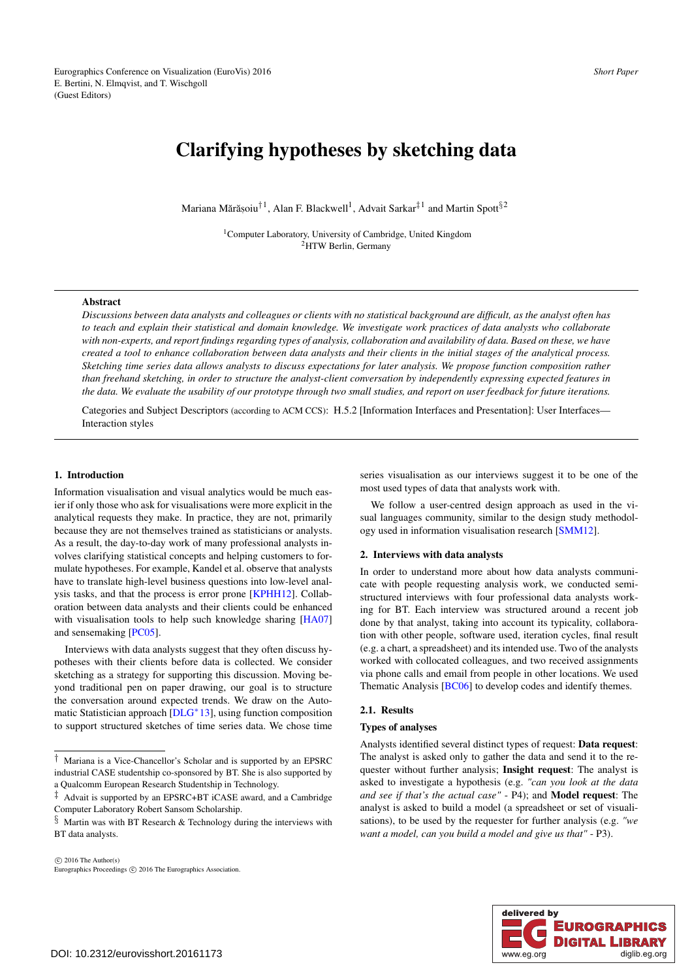# <span id="page-0-1"></span>Clarifying hypotheses by sketching data

Mariana Mărășoiu<sup>† 1</sup>, Alan F. Blackwell<sup>1</sup>, Advait Sarkar<sup>‡ 1</sup> and Martin Spott<sup>§2</sup>

1Computer Laboratory, University of Cambridge, United Kingdom <sup>2</sup>HTW Berlin, Germany

#### Abstract

*Discussions between data analysts and colleagues or clients with no statistical background are difficult, as the analyst often has to teach and explain their statistical and domain knowledge. We investigate work practices of data analysts who collaborate with non-experts, and report findings regarding types of analysis, collaboration and availability of data. Based on these, we have created a tool to enhance collaboration between data analysts and their clients in the initial stages of the analytical process. Sketching time series data allows analysts to discuss expectations for later analysis. We propose function composition rather than freehand sketching, in order to structure the analyst-client conversation by independently expressing expected features in the data. We evaluate the usability of our prototype through two small studies, and report on user feedback for future iterations.*

Categories and Subject Descriptors (according to ACM CCS): H.5.2 [Information Interfaces and Presentation]: User Interfaces— Interaction styles

#### 1. Introduction

Information visualisation and visual analytics would be much easier if only those who ask for visualisations were more explicit in the analytical requests they make. In practice, they are not, primarily because they are not themselves trained as statisticians or analysts. As a result, the day-to-day work of many professional analysts involves clarifying statistical concepts and helping customers to formulate hypotheses. For example, Kandel et al. observe that analysts have to translate high-level business questions into low-level analysis tasks, and that the process is error prone [\[KPHH12\]](#page-4-0). Collaboration between data analysts and their clients could be enhanced with visualisation tools to help such knowledge sharing [\[HA07\]](#page-4-1) and sensemaking [\[PC05\]](#page-4-2).

Interviews with data analysts suggest that they often discuss hypotheses with their clients before data is collected. We consider sketching as a strategy for supporting this discussion. Moving beyond traditional pen on paper drawing, our goal is to structure the conversation around expected trends. We draw on the Automatic Statistician approach  $[DLG^*13]$  $[DLG^*13]$ , using function composition to support structured sketches of time series data. We chose time

*†* Mariana is a Vice-Chancellor's Scholar and is supported by an EPSRC industrial CASE studentship co-sponsored by BT. She is also supported by a Qualcomm European Research Studentship in Technology.

series visualisation as our interviews suggest it to be one of the most used types of data that analysts work with.

We follow a user-centred design approach as used in the visual languages community, similar to the design study methodology used in information visualisation research [\[SMM12\]](#page-4-4).

#### 2. Interviews with data analysts

In order to understand more about how data analysts communicate with people requesting analysis work, we conducted semistructured interviews with four professional data analysts working for BT. Each interview was structured around a recent job done by that analyst, taking into account its typicality, collaboration with other people, software used, iteration cycles, final result (e.g. a chart, a spreadsheet) and its intended use. Two of the analysts worked with collocated colleagues, and two received assignments via phone calls and email from people in other locations. We used Thematic Analysis [\[BC06\]](#page-4-5) to develop codes and identify themes.

## <span id="page-0-0"></span>2.1. Results

#### Types of analyses

Analysts identified several distinct types of request: Data request: The analyst is asked only to gather the data and send it to the requester without further analysis; Insight request: The analyst is asked to investigate a hypothesis (e.g. *"can you look at the data and see if that's the actual case"* - P4); and Model request: The analyst is asked to build a model (a spreadsheet or set of visualisations), to be used by the requester for further analysis (e.g. *"we want a model, can you build a model and give us that"* - P3).



*<sup>‡</sup>* Advait is supported by an EPSRC+BT iCASE award, and a Cambridge Computer Laboratory Robert Sansom Scholarship.

*<sup>§</sup>* Martin was with BT Research & Technology during the interviews with BT data analysts.

 $\circ$  2016 The Author(s) Eurographics Proceedings C 2016 The Eurographics Association.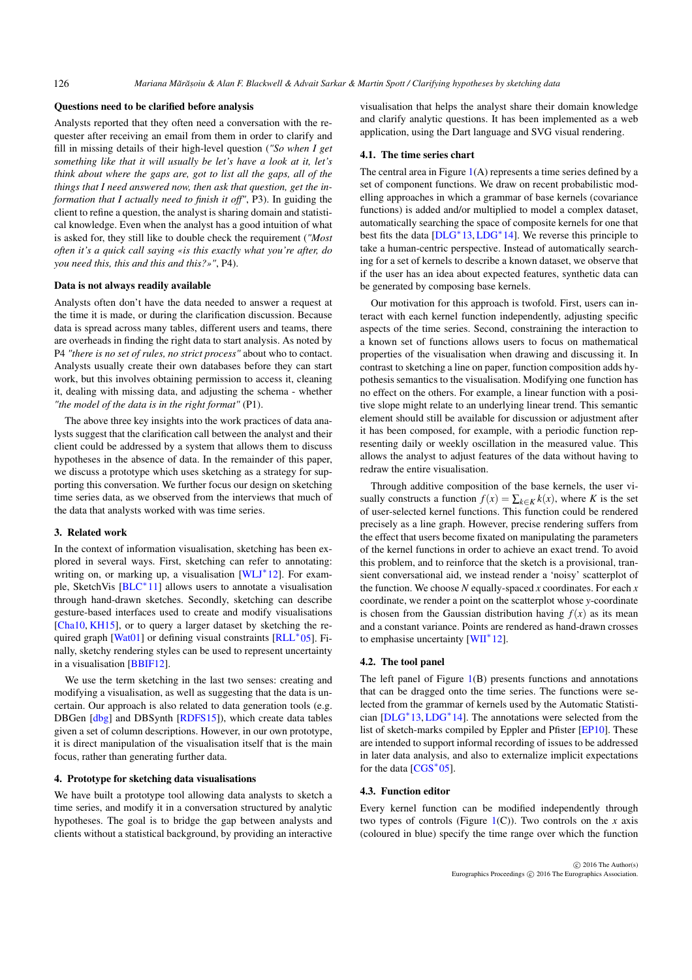#### <span id="page-1-3"></span>Questions need to be clarified before analysis

Analysts reported that they often need a conversation with the requester after receiving an email from them in order to clarify and fill in missing details of their high-level question (*"So when I get something like that it will usually be let's have a look at it, let's think about where the gaps are, got to list all the gaps, all of the things that I need answered now, then ask that question, get the information that I actually need to finish it off"*, P3). In guiding the client to refine a question, the analyst is sharing domain and statistical knowledge. Even when the analyst has a good intuition of what is asked for, they still like to double check the requirement (*"Most often it's a quick call saying «is this exactly what you're after, do you need this, this and this and this?»"*, P4).

## Data is not always readily available

Analysts often don't have the data needed to answer a request at the time it is made, or during the clarification discussion. Because data is spread across many tables, different users and teams, there are overheads in finding the right data to start analysis. As noted by P4 *"there is no set of rules, no strict process"* about who to contact. Analysts usually create their own databases before they can start work, but this involves obtaining permission to access it, cleaning it, dealing with missing data, and adjusting the schema - whether *"the model of the data is in the right format"* (P1).

The above three key insights into the work practices of data analysts suggest that the clarification call between the analyst and their client could be addressed by a system that allows them to discuss hypotheses in the absence of data. In the remainder of this paper, we discuss a prototype which uses sketching as a strategy for supporting this conversation. We further focus our design on sketching time series data, as we observed from the interviews that much of the data that analysts worked with was time series.

#### 3. Related work

In the context of information visualisation, sketching has been explored in several ways. First, sketching can refer to annotating: writing on, or marking up, a visualisation  $[WLJ^*12]$  $[WLJ^*12]$ . For example, SketchVis  $[BLC^*11]$  $[BLC^*11]$  allows users to annotate a visualisation through hand-drawn sketches. Secondly, sketching can describe gesture-based interfaces used to create and modify visualisations [\[Cha10,](#page-4-8) [KH15\]](#page-4-9), or to query a larger dataset by sketching the required graph  $[Wat01]$  or defining visual constraints  $[RLL^*05]$  $[RLL^*05]$ . Finally, sketchy rendering styles can be used to represent uncertainty in a visualisation [\[BBIF12\]](#page-4-12).

We use the term sketching in the last two senses: creating and modifying a visualisation, as well as suggesting that the data is uncertain. Our approach is also related to data generation tools (e.g. DBGen [\[dbg\]](#page-4-13) and DBSynth [\[RDFS15\]](#page-4-14)), which create data tables given a set of column descriptions. However, in our own prototype, it is direct manipulation of the visualisation itself that is the main focus, rather than generating further data.

## 4. Prototype for sketching data visualisations

We have built a prototype tool allowing data analysts to sketch a time series, and modify it in a conversation structured by analytic hypotheses. The goal is to bridge the gap between analysts and clients without a statistical background, by providing an interactive visualisation that helps the analyst share their domain knowledge and clarify analytic questions. It has been implemented as a web application, using the Dart language and SVG visual rendering.

#### <span id="page-1-0"></span>4.1. The time series chart

The central area in Figure  $1(A)$  $1(A)$  represents a time series defined by a set of component functions. We draw on recent probabilistic modelling approaches in which a grammar of base kernels (covariance functions) is added and/or multiplied to model a complex dataset, automatically searching the space of composite kernels for one that best fits the data  $[DLG^*13,LDG^*14]$  $[DLG^*13,LDG^*14]$  $[DLG^*13,LDG^*14]$  $[DLG^*13,LDG^*14]$ . We reverse this principle to take a human-centric perspective. Instead of automatically searching for a set of kernels to describe a known dataset, we observe that if the user has an idea about expected features, synthetic data can be generated by composing base kernels.

Our motivation for this approach is twofold. First, users can interact with each kernel function independently, adjusting specific aspects of the time series. Second, constraining the interaction to a known set of functions allows users to focus on mathematical properties of the visualisation when drawing and discussing it. In contrast to sketching a line on paper, function composition adds hypothesis semantics to the visualisation. Modifying one function has no effect on the others. For example, a linear function with a positive slope might relate to an underlying linear trend. This semantic element should still be available for discussion or adjustment after it has been composed, for example, with a periodic function representing daily or weekly oscillation in the measured value. This allows the analyst to adjust features of the data without having to redraw the entire visualisation.

Through additive composition of the base kernels, the user visually constructs a function  $f(x) = \sum_{k \in K} k(x)$ , where *K* is the set of user-selected kernel functions. This function could be rendered precisely as a line graph. However, precise rendering suffers from the effect that users become fixated on manipulating the parameters of the kernel functions in order to achieve an exact trend. To avoid this problem, and to reinforce that the sketch is a provisional, transient conversational aid, we instead render a 'noisy' scatterplot of the function. We choose *N* equally-spaced *x* coordinates. For each *x* coordinate, we render a point on the scatterplot whose *y*-coordinate is chosen from the Gaussian distribution having  $f(x)$  as its mean and a constant variance. Points are rendered as hand-drawn crosses to emphasise uncertainty  $[WH^*12]$ .

## <span id="page-1-1"></span>4.2. The tool panel

The left panel of Figure [1\(](#page-2-0)B) presents functions and annotations that can be dragged onto the time series. The functions were selected from the grammar of kernels used by the Automatic Statistician  $[DLG^*13,LDG^*14]$  $[DLG^*13,LDG^*14]$  $[DLG^*13,LDG^*14]$  $[DLG^*13,LDG^*14]$ . The annotations were selected from the list of sketch-marks compiled by Eppler and Pfister [\[EP10\]](#page-4-17). These are intended to support informal recording of issues to be addressed in later data analysis, and also to externalize implicit expectations for the data  $[CGS^*05]$  $[CGS^*05]$ .

#### <span id="page-1-2"></span>4.3. Function editor

Every kernel function can be modified independently through two types of controls (Figure  $1(C)$  $1(C)$ ). Two controls on the *x* axis (coloured in blue) specify the time range over which the function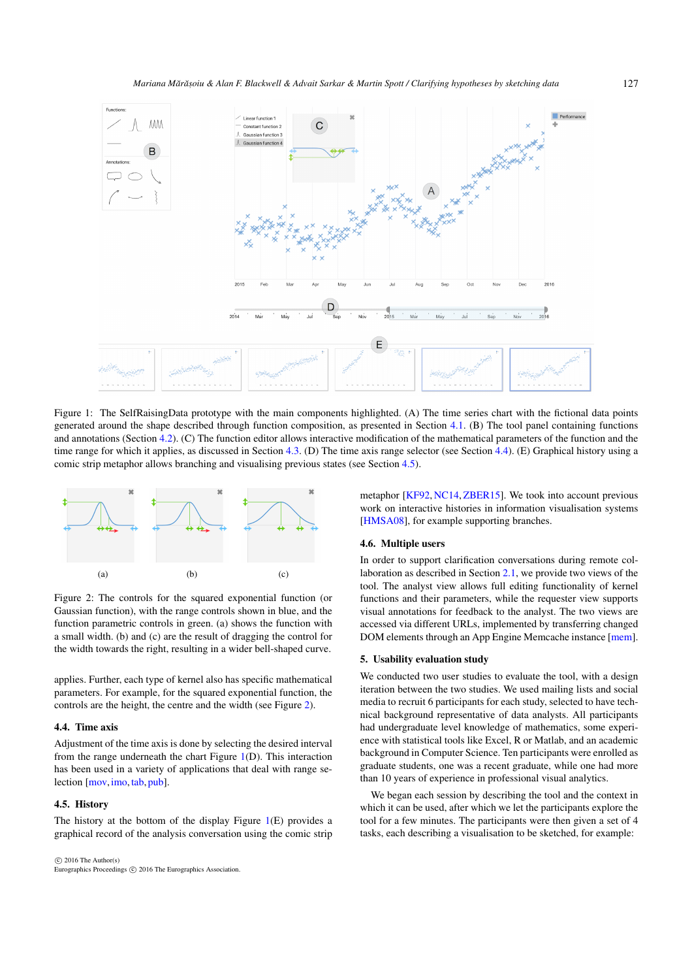<span id="page-2-4"></span><span id="page-2-0"></span>

Figure 1: The SelfRaisingData prototype with the main components highlighted. (A) The time series chart with the fictional data points generated around the shape described through function composition, as presented in Section [4.1.](#page-1-0) (B) The tool panel containing functions and annotations (Section [4.2\)](#page-1-1). (C) The function editor allows interactive modification of the mathematical parameters of the function and the time range for which it applies, as discussed in Section [4.3.](#page-1-2) (D) The time axis range selector (see Section [4.4\)](#page-2-1). (E) Graphical history using a comic strip metaphor allows branching and visualising previous states (see Section [4.5\)](#page-2-2).

<span id="page-2-3"></span>

Figure 2: The controls for the squared exponential function (or Gaussian function), with the range controls shown in blue, and the function parametric controls in green. (a) shows the function with a small width. (b) and (c) are the result of dragging the control for the width towards the right, resulting in a wider bell-shaped curve.

applies. Further, each type of kernel also has specific mathematical parameters. For example, for the squared exponential function, the controls are the height, the centre and the width (see Figure [2\)](#page-2-3).

#### <span id="page-2-1"></span>4.4. Time axis

Adjustment of the time axis is done by selecting the desired interval from the range underneath the chart Figure [1\(](#page-2-0)D). This interaction has been used in a variety of applications that deal with range se-lection [\[mov,](#page-4-19) [imo,](#page-4-20) [tab,](#page-4-21) [pub\]](#page-4-22).

## <span id="page-2-2"></span>4.5. History

The history at the bottom of the display Figure  $1(E)$  $1(E)$  provides a graphical record of the analysis conversation using the comic strip

 $\circ$  2016 The Author(s) Eurographics Proceedings C 2016 The Eurographics Association. metaphor [\[KF92,](#page-4-23) [NC14,](#page-4-24) [ZBER15\]](#page-4-25). We took into account previous work on interactive histories in information visualisation systems [\[HMSA08\]](#page-4-26), for example supporting branches.

## 4.6. Multiple users

In order to support clarification conversations during remote collaboration as described in Section [2.1,](#page-0-0) we provide two views of the tool. The analyst view allows full editing functionality of kernel functions and their parameters, while the requester view supports visual annotations for feedback to the analyst. The two views are accessed via different URLs, implemented by transferring changed DOM elements through an App Engine Memcache instance [\[mem\]](#page-4-27).

## 5. Usability evaluation study

We conducted two user studies to evaluate the tool, with a design iteration between the two studies. We used mailing lists and social media to recruit 6 participants for each study, selected to have technical background representative of data analysts. All participants had undergraduate level knowledge of mathematics, some experience with statistical tools like Excel, R or Matlab, and an academic background in Computer Science. Ten participants were enrolled as graduate students, one was a recent graduate, while one had more than 10 years of experience in professional visual analytics.

We began each session by describing the tool and the context in which it can be used, after which we let the participants explore the tool for a few minutes. The participants were then given a set of 4 tasks, each describing a visualisation to be sketched, for example: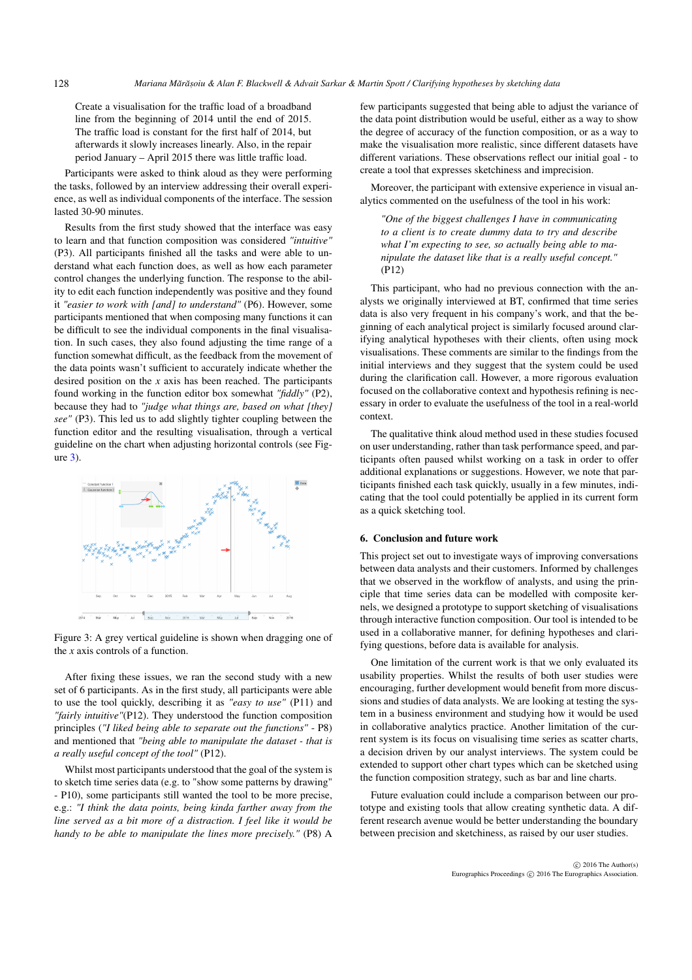Create a visualisation for the traffic load of a broadband line from the beginning of 2014 until the end of 2015. The traffic load is constant for the first half of 2014, but afterwards it slowly increases linearly. Also, in the repair period January – April 2015 there was little traffic load.

Participants were asked to think aloud as they were performing the tasks, followed by an interview addressing their overall experience, as well as individual components of the interface. The session lasted 30-90 minutes.

Results from the first study showed that the interface was easy to learn and that function composition was considered *"intuitive"* (P3). All participants finished all the tasks and were able to understand what each function does, as well as how each parameter control changes the underlying function. The response to the ability to edit each function independently was positive and they found it *"easier to work with [and] to understand"* (P6). However, some participants mentioned that when composing many functions it can be difficult to see the individual components in the final visualisation. In such cases, they also found adjusting the time range of a function somewhat difficult, as the feedback from the movement of the data points wasn't sufficient to accurately indicate whether the desired position on the *x* axis has been reached. The participants found working in the function editor box somewhat *"fiddly"* (P2), because they had to *"judge what things are, based on what [they] see"* (P3). This led us to add slightly tighter coupling between the function editor and the resulting visualisation, through a vertical guideline on the chart when adjusting horizontal controls (see Figure [3\)](#page-3-0).

<span id="page-3-0"></span>

Figure 3: A grey vertical guideline is shown when dragging one of the *x* axis controls of a function.

After fixing these issues, we ran the second study with a new set of 6 participants. As in the first study, all participants were able to use the tool quickly, describing it as *"easy to use"* (P11) and *"fairly intuitive"*(P12). They understood the function composition principles (*"I liked being able to separate out the functions"* - P8) and mentioned that *"being able to manipulate the dataset - that is a really useful concept of the tool"* (P12).

Whilst most participants understood that the goal of the system is to sketch time series data (e.g. to "show some patterns by drawing" - P10), some participants still wanted the tool to be more precise, e.g.: *"I think the data points, being kinda farther away from the line served as a bit more of a distraction. I feel like it would be handy to be able to manipulate the lines more precisely."* (P8) A

few participants suggested that being able to adjust the variance of the data point distribution would be useful, either as a way to show the degree of accuracy of the function composition, or as a way to make the visualisation more realistic, since different datasets have different variations. These observations reflect our initial goal - to create a tool that expresses sketchiness and imprecision.

Moreover, the participant with extensive experience in visual analytics commented on the usefulness of the tool in his work:

*"One of the biggest challenges I have in communicating to a client is to create dummy data to try and describe what I'm expecting to see, so actually being able to manipulate the dataset like that is a really useful concept."* (P12)

This participant, who had no previous connection with the analysts we originally interviewed at BT, confirmed that time series data is also very frequent in his company's work, and that the beginning of each analytical project is similarly focused around clarifying analytical hypotheses with their clients, often using mock visualisations. These comments are similar to the findings from the initial interviews and they suggest that the system could be used during the clarification call. However, a more rigorous evaluation focused on the collaborative context and hypothesis refining is necessary in order to evaluate the usefulness of the tool in a real-world context.

The qualitative think aloud method used in these studies focused on user understanding, rather than task performance speed, and participants often paused whilst working on a task in order to offer additional explanations or suggestions. However, we note that participants finished each task quickly, usually in a few minutes, indicating that the tool could potentially be applied in its current form as a quick sketching tool.

#### 6. Conclusion and future work

This project set out to investigate ways of improving conversations between data analysts and their customers. Informed by challenges that we observed in the workflow of analysts, and using the principle that time series data can be modelled with composite kernels, we designed a prototype to support sketching of visualisations through interactive function composition. Our tool is intended to be used in a collaborative manner, for defining hypotheses and clarifying questions, before data is available for analysis.

One limitation of the current work is that we only evaluated its usability properties. Whilst the results of both user studies were encouraging, further development would benefit from more discussions and studies of data analysts. We are looking at testing the system in a business environment and studying how it would be used in collaborative analytics practice. Another limitation of the current system is its focus on visualising time series as scatter charts, a decision driven by our analyst interviews. The system could be extended to support other chart types which can be sketched using the function composition strategy, such as bar and line charts.

Future evaluation could include a comparison between our prototype and existing tools that allow creating synthetic data. A different research avenue would be better understanding the boundary between precision and sketchiness, as raised by our user studies.